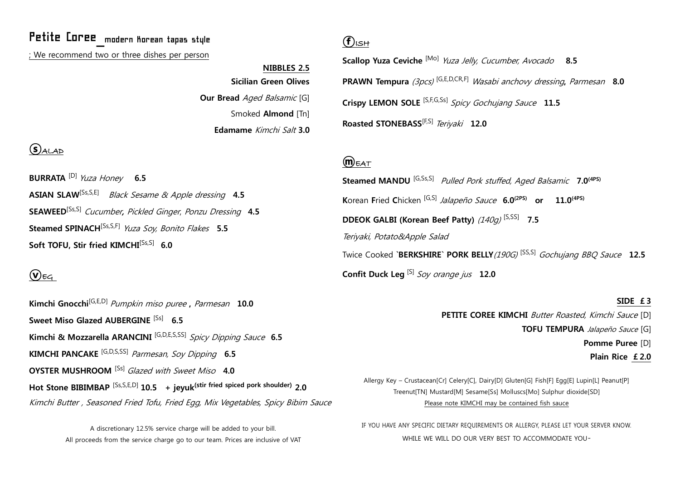### Petite Coree modern Borean tapas stule

; We recommend two or three dishes per person

# **NIBBLES 2.5**

**Sicilian Green Olives Our Bread** Aged Balsamic [G] Smoked **Almond** [Tn] **Edamame** Kimchi Salt **3.0**

## $\mathsf{S}_{\mathcal{A} \cup \mathcal{A} \mathcal{D}}$

**BURRATA** [D] Yuza Honey **6.5 ASIAN SLAW**[Ss,S,E] Black Sesame & Apple dressing **4.5 SEAWEED**[Ss,S] Cucumber**,** Pickled Ginger, Ponzu Dressing **4.5 Steamed SPINACH**[Ss,S,F] Yuza Soy, Bonito Flakes **5.5 Soft TOFU, Stir fried KIMCHI**[Ss,S] **6.0**

### $\mathsf{Q}_{\mathsf{E}\mathsf{G}}$

**Kimchi Gnocchi**[G,E,D] Pumpkin miso puree **,** Parmesan **10.0 Sweet Miso Glazed AUBERGINE** [Ss] **6.5 Kimchi & Mozzarella ARANCINI** [G,D,E,S,SS] Spicy Dipping Sauce **6.5 KIMCHI PANCAKE** [G,D,S,SS] Parmesan, Soy Dipping **6.5 OYSTER MUSHROOM** [Ss] Glazed with Sweet Miso **4.0 Hot Stone BIBIMBAP** [Ss,S,E,D] **10.5 + jeyuk(stir fried spiced pork shoulder) 2.0** Kimchi Butter , Seasoned Fried Tofu, Fried Egg, Mix Vegetables, Spicy Bibim Sauce

> A discretionary 12.5% service charge will be added to your bill. All proceeds from the service charge go to our team. Prices are inclusive of VAT

## $f)$ <sub>ISH</sub>

**Scallop Yuza Ceviche** [Mo] Yuza Jelly, Cucumber, Avocado **8.5 PRAWN Tempura** (3pcs) [G,E,D,CR,F] Wasabi anchovy dressing**,** Parmesan **8.0 Crispy LEMON SOLE** [S,F,G,Ss] Spicy Gochujang Sauce **11.5 Roasted STONEBASS**[F,S] Teriyaki **12.0** 

### $\widehat{\mathsf{m}}_{\mathsf{EAT}}$

**Steamed MANDU** [G,Ss,S] Pulled Pork stuffed, Aged Balsamic **7.0(4PS) K**orean Fried Chicken <sup>[G,S]</sup> Jalapeño Sauce **6.0**<sup>(2PS)</sup> or 11.0<sup>(4PS)</sup> **DDEOK GALBI (Korean Beef Patty)** (140g) [S,SS] **7.5** Teriyaki, Potato&Apple Salad Twice Cooked **`BERKSHIRE` PORK BELLY**(190G) [SS,S] Gochujang BBQ Sauce **12.5 Confit Duck Leg** [S] Soy orange jus **12.0**

#### **SIDE £3**

**PETITE COREE KIMCHI** Butter Roasted, Kimchi Sauce [D] **TOFU TEMPURA** Jalapeño Sauce [G] **Pomme Puree** [D]

**Plain Rice £2.0**

Allergy Key – Crustacean[Cr] Celery[C], Dairy[D] Gluten[G] Fish[F] Egg[E] Lupin[L] Peanut[P] Treenut[TN] Mustard[M] Sesame[Ss] Molluscs[Mo] Sulphur dioxide[SD] Please note KIMCHI may be contained fish sauce

IF YOU HAVE ANY SPECIFIC DIETARY REQUIREMENTS OR ALLERGY, PLEASE LET YOUR SERVER KNOW. WHILE WE WILL DO OUR VERY BEST TO ACCOMMODATE YOU-